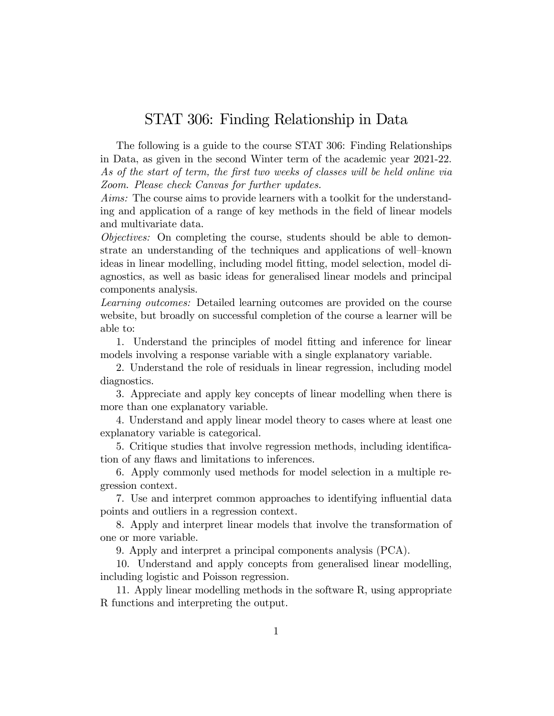## STAT 306: Finding Relationship in Data

The following is a guide to the course STAT 306: Finding Relationships in Data, as given in the second Winter term of the academic year 2021-22. As of the start of term, the first two weeks of classes will be held online via Zoom. Please check Canvas for further updates.

Aims: The course aims to provide learners with a toolkit for the understanding and application of a range of key methods in the Öeld of linear models and multivariate data.

Objectives: On completing the course, students should be able to demonstrate an understanding of the techniques and applications of well–known ideas in linear modelling, including model fitting, model selection, model diagnostics, as well as basic ideas for generalised linear models and principal components analysis.

Learning outcomes: Detailed learning outcomes are provided on the course website, but broadly on successful completion of the course a learner will be able to:

1. Understand the principles of model fitting and inference for linear models involving a response variable with a single explanatory variable.

2. Understand the role of residuals in linear regression, including model diagnostics.

3. Appreciate and apply key concepts of linear modelling when there is more than one explanatory variable.

4. Understand and apply linear model theory to cases where at least one explanatory variable is categorical.

5. Critique studies that involve regression methods, including identification of any flaws and limitations to inferences.

6. Apply commonly used methods for model selection in a multiple regression context.

7. Use and interpret common approaches to identifying influential data points and outliers in a regression context.

8. Apply and interpret linear models that involve the transformation of one or more variable.

9. Apply and interpret a principal components analysis (PCA).

10. Understand and apply concepts from generalised linear modelling, including logistic and Poisson regression.

11. Apply linear modelling methods in the software R, using appropriate R functions and interpreting the output.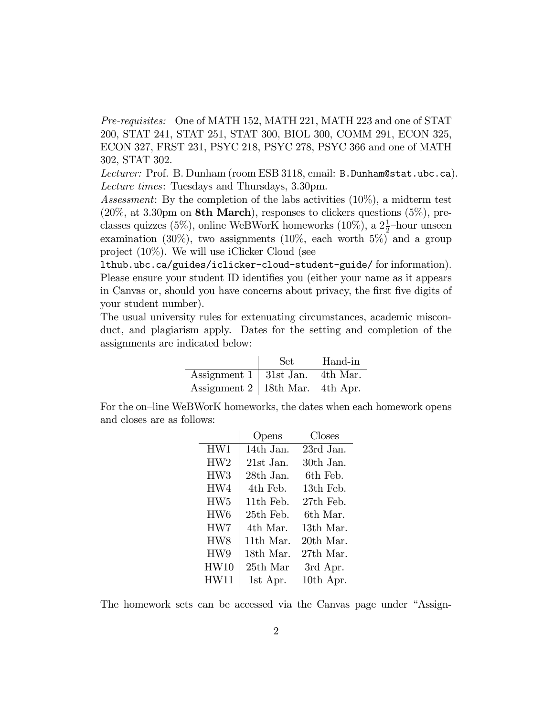Pre-requisites: One of MATH 152, MATH 221, MATH 223 and one of STAT 200, STAT 241, STAT 251, STAT 300, BIOL 300, COMM 291, ECON 325, ECON 327, FRST 231, PSYC 218, PSYC 278, PSYC 366 and one of MATH 302, STAT 302.

Lecturer: Prof. B. Dunham (room ESB 3118, email: B. Dunham@stat.ubc.ca). Lecture times: Tuesdays and Thursdays, 3.30pm.

Assessment: By the completion of the labs activities (10%), a midterm test  $(20\%, \text{ at } 3.30 \text{pm on } 8\text{th March})$ , responses to clickers questions  $(5\%)$ , preclasses quizzes (5%), online WeBWorK homeworks (10%), a  $2\frac{1}{2}$ -hour unseen examination  $(30\%)$ , two assignments  $(10\%$ , each worth  $5\%)$  and a group project (10%). We will use iClicker Cloud (see

lthub.ubc.ca/guides/iclicker-cloud-student-guide/ for information). Please ensure your student ID identifies you (either your name as it appears in Canvas or, should you have concerns about privacy, the first five digits of your student number).

The usual university rules for extenuating circumstances, academic misconduct, and plagiarism apply. Dates for the setting and completion of the assignments are indicated below:

|                                         | Set | Hand-in |
|-----------------------------------------|-----|---------|
| Assignment $1 \mid 31st$ Jan. 4th Mar.  |     |         |
| Assignment $2 \mid 18$ th Mar. 4th Apr. |     |         |

For the on-line WeBWorK homeworks, the dates when each homework opens and closes are as follows:

|                 | Opens     | Closes    |
|-----------------|-----------|-----------|
| HW1             | 14th Jan. | 23rd Jan. |
| HW2             | 21st Jan. | 30th Jan. |
| HW <sub>3</sub> | 28th Jan. | 6th Feb.  |
| HW4             | 4th Feb.  | 13th Feb. |
| HW <sub>5</sub> | 11th Feb. | 27th Feb. |
| HW <sub>6</sub> | 25th Feb. | 6th Mar.  |
| HW7             | 4th Mar.  | 13th Mar. |
| HW8             | 11th Mar. | 20th Mar. |
| HW9             | 18th Mar. | 27th Mar. |
| HW10            | 25th Mar  | 3rd Apr.  |
| HW11            | 1st Apr.  | 10th Apr. |

The homework sets can be accessed via the Canvas page under "Assign-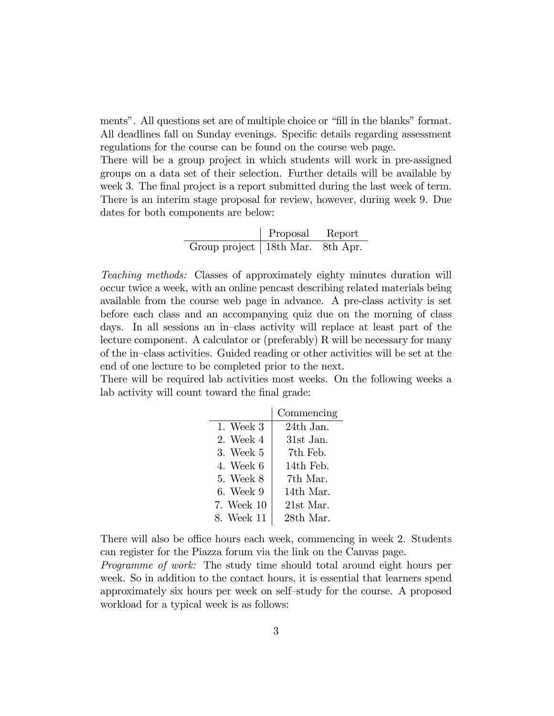ments". All questions set are of multiple choice or "fill in the blanks" format. All deadlines fall on Sunday evenings. Specific details regarding assessment regulations for the course can be found on the course web page.

There will be a group project in which students will work in pre-assigned groups on a data set of their selection. Further details will be available by week 3. The final project is a report submitted during the last week of term. There is an interim stage proposal for review, however, during week 9. Due dates for both components are below:

|                                    | Proposal | Report |
|------------------------------------|----------|--------|
| Group project   18th Mar. 8th Apr. |          |        |

Teaching methods: Classes of approximately eighty minutes duration will occur twice a week, with an online pencast describing related materials being available from the course web page in advance. A pre-class activity is set before each class and an accompanying quiz due on the morning of class days. In all sessions an in-class activity will replace at least part of the lecture component. A calculator or (preferably) R will be necessary for many of the in–class activities. Guided reading or other activities will be set at the end of one lecture to be completed prior to the next.

There will be required lab activities most weeks. On the following weeks a lab activity will count toward the final grade:

|               | Commencing |
|---------------|------------|
| $1.$ Week $3$ | 24th Jan.  |
| 2. Week 4     | 31st Jan.  |
| 3. Week 5     | 7th Feb.   |
| 4. Week 6     | 14th Feb.  |
| 5. Week 8     | 7th Mar.   |
| 6. Week 9     | 14th Mar   |
| 7. Week 10    | 21st Mar   |
| 8. Week 11    | 28th Mar.  |

There will also be office hours each week, commencing in week 2. Students can register for the Piazza forum via the link on the Canvas page.

Programme of work: The study time should total around eight hours per week. So in addition to the contact hours, it is essential that learners spend approximately six hours per week on self-study for the course. A proposed workload for a typical week is as follows: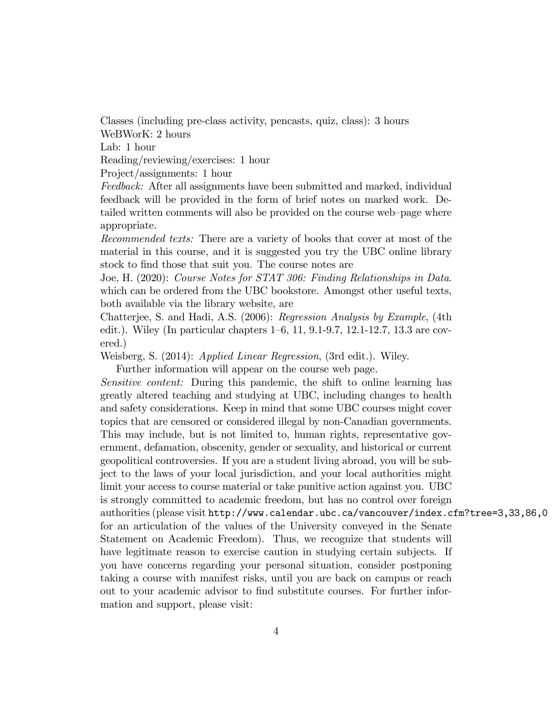Classes (including pre-class activity, pencasts, quiz, class): 3 hours WeBWorK: 2 hours

Lab: 1 hour

Reading/reviewing/exercises: 1 hour

Project/assignments: 1 hour

Feedback: After all assignments have been submitted and marked, individual feedback will be provided in the form of brief notes on marked work. Detailed written comments will also be provided on the course web-page where appropriate.

Recommended texts: There are a variety of books that cover at most of the material in this course, and it is suggested you try the UBC online library stock to find those that suit you. The course notes are

Joe, H. (2020): Course Notes for STAT 306: Finding Relationships in Data. which can be ordered from the UBC bookstore. Amongst other useful texts, both available via the library website, are

Chatterjee, S. and Hadi, A.S. (2006): Regression Analysis by Example, (4th edit.). Wiley (In particular chapters  $1-6$ , 11, 9.1-9.7, 12.1-12.7, 13.3 are covered.)

Weisberg, S. (2014): Applied Linear Regression, (3rd edit.). Wiley.

Further information will appear on the course web page.

Sensitive content: During this pandemic, the shift to online learning has greatly altered teaching and studying at UBC, including changes to health and safety considerations. Keep in mind that some UBC courses might cover topics that are censored or considered illegal by non-Canadian governments. This may include, but is not limited to, human rights, representative government, defamation, obscenity, gender or sexuality, and historical or current geopolitical controversies. If you are a student living abroad, you will be subject to the laws of your local jurisdiction, and your local authorities might limit your access to course material or take punitive action against you. UBC is strongly committed to academic freedom, but has no control over foreign authorities (please visit http://www.calendar.ubc.ca/vancouver/index.cfm?tree=3,33,86,0 for an articulation of the values of the University conveyed in the Senate Statement on Academic Freedom). Thus, we recognize that students will have legitimate reason to exercise caution in studying certain subjects. If you have concerns regarding your personal situation, consider postponing taking a course with manifest risks, until you are back on campus or reach out to your academic advisor to Önd substitute courses. For further information and support, please visit: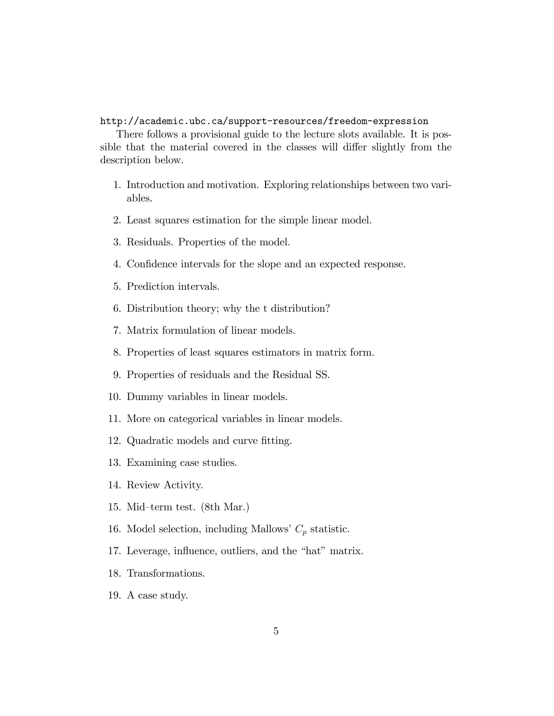## http://academic.ubc.ca/support-resources/freedom-expression

There follows a provisional guide to the lecture slots available. It is possible that the material covered in the classes will differ slightly from the description below.

- 1. Introduction and motivation. Exploring relationships between two variables.
- 2. Least squares estimation for the simple linear model.
- 3. Residuals. Properties of the model.
- 4. Confidence intervals for the slope and an expected response.
- 5. Prediction intervals.
- 6. Distribution theory; why the t distribution?
- 7. Matrix formulation of linear models.
- 8. Properties of least squares estimators in matrix form.
- 9. Properties of residuals and the Residual SS.
- 10. Dummy variables in linear models.
- 11. More on categorical variables in linear models.
- 12. Quadratic models and curve fitting.
- 13. Examining case studies.
- 14. Review Activity.
- 15. Mid-term test.  $(8th Mar.)$
- 16. Model selection, including Mallows'  $C_p$  statistic.
- 17. Leverage, influence, outliers, and the "hat" matrix.
- 18. Transformations.
- 19. A case study.